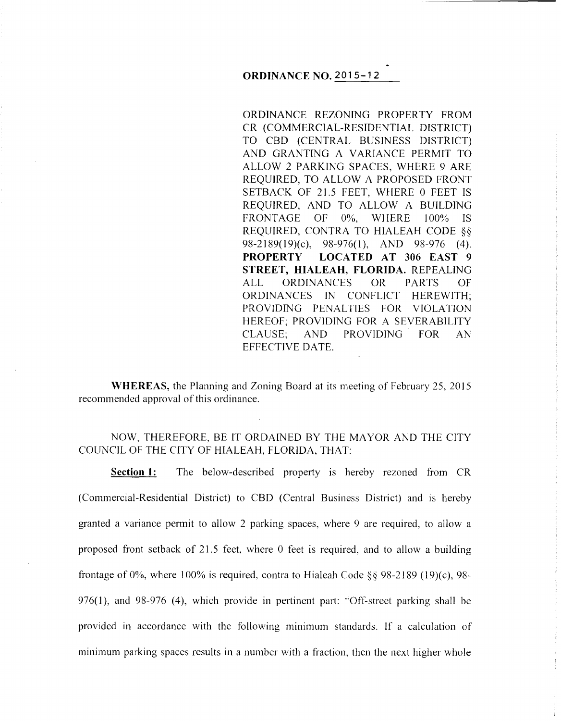## **ORDINANCE NO. 2015-12**

ORDINANCE REZONING PROPERTY FROM CR (COMMERCIAL-RESIDENTIAL DISTRICT) TO CBD (CENTRAL BUSINESS DISTRICT) AND GRANTING A VARIANCE PERMIT TO ALLOW 2 PARKING SPACES, WHERE 9 ARE REQUIRED, TO ALLOW A PROPOSED FRONT SETBACK OF 21.5 FEET, WHERE 0 FEET IS REQUIRED, AND TO ALLOW A BUILDING FRONTAGE OF 0%, WHERE 100% IS REQUIRED, CONTRA TO HIALEAH CODE §§ 98-2189(19)(c), 98-976(1), AND 98-976 (4). **PROPERTY LOCATED AT 306 EAST 9 STREET, HIALEAH, FLORIDA.** REPEALING ALL ORDINANCES OR PARTS OF ORDINANCES IN CONFLICT HEREWITH; PROVIDING PENALTIES FOR VIOLATION HEREOF; PROVIDING FOR A SEVERABILITY CLAUSE; AND PROVIDING FOR AN EFFECTIVE DATE.

**WHEREAS,** the Planning and Zoning Board at its meeting of February 25, 2015 recommended approval of this ordinance.

NOW, THEREFORE, BE IT ORDAINED BY THE MAYOR AND THE CITY COUNCIL OF THE CITY OF HIALEAH, FLORIDA, THAT:

**Section 1:** The below-described property is hereby rezoned from CR (Commercial-Residential District) to CBD (Central Business District) and is hereby granted a variance permit to allow 2 parking spaces, where 9 are required, to allow a proposed front setback of 21.5 feet, where 0 feet is required, and to allow a building frontage of  $0\%$ , where 100% is required, contra to Hialeah Code §§ 98-2189 (19)(c), 98-976(1), and 98-976 (4), which provide in pertinent part: "'Off-street parking shall be provided in accordance with the following minimum standards. If a calculation of minimum parking spaces results in a number with a fraction, then the next higher whole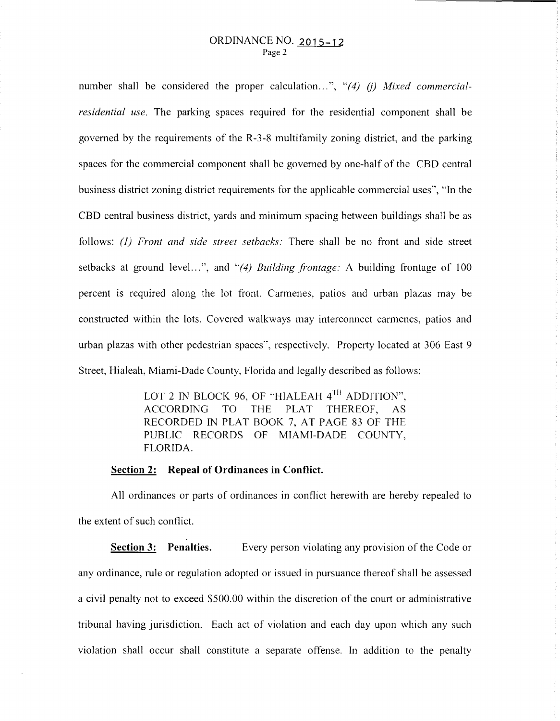number shall be considered the proper calculation...", "(4) (j) Mixed commercial*residential use.* The parking spaces required for the residential component shall be governed by the requirements of the R-3-8 multifamily zoning district, and the parking spaces for the commercial component shall be governed by one-half of the CBD central business district zoning district requirements for the applicable commercial uses", "In the CBD central business district, yards and minimum spacing between buildings shall be as follows: (I) *Front and side street setbacks:* There shall be no front and side street setbacks at ground level...", and "(4) Building frontage: A building frontage of 100 percent is required along the lot front. Cannenes, patios and urban plazas may be constructed within the lots. Covered walkways may interconnect cannenes, patios and urban plazas with other pedestrian spaces'', respectively. Property located at 306 East 9 Street, Hialeah, Miami-Dade County, Florida and legally described as follows:

> LOT 2 IN BLOCK 96, OF "HIALEAH  $4^{TH}$  ADDITION", ACCORDING TO THE PLAT THEREOF, AS RECORDED IN PLAT BOOK 7, AT PAGE 83 OF THE PUBLIC RECORDS OF MIAMI-DADE COUNTY, FLORIDA.

## **Section 2: Repeal of Ordinances in Conflict.**

All ordinances or parts of ordinances in conflict herewith are hereby repealed to the extent of such conflict.

**Section 3: Penalties.** Every person violating any provision of the Code or any ordinance, rule or regulation adopted or issued in pursuance thereof shall be assessed a civil penalty not to exceed \$500.00 within the discretion of the court or administrative tribunal having jurisdiction. Each act of violation and each day upon which any such violation shall occur shall constitute a separate offense. In addition to the penalty